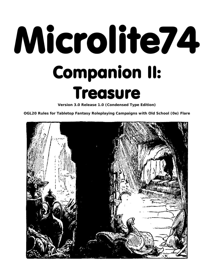# Microlite74 Companion II: Treasure

*Version 3.0 Release 1.0 (Condensed Type Edition)* 

*OGL20 Rules for Tabletop Fantasy Roleplaying Campaigns with Old School (0e) Flare* 

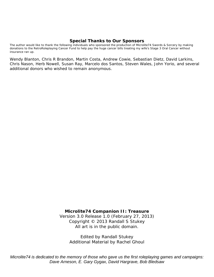## **Special Thanks to Our Sponsors**

The author would like to thank the following individuals who sponsored the production of Microlite74 Swords & Sorcery by making donations to the RetroRoleplaying Cancer Fund to help pay the huge cancer bills treating my wife's Stage 3 Oral Cancer without insurance ran up.

Wendy Blanton, Chris R Brandon, Martin Costa, Andrew Cowie, Sebastian Dietz, David Larkins, Chris Nason, Herb Nowell, Susan Ray, Marcelo dos Santos, Steven Wales, John Yorio, and several additional donors who wished to remain anonymous.

## **Microlite74 Companion II: Treasure**

Version 3.0 Release 1.0 (February 27, 2013) Copyright © 2013 Randall S Stukey All art is in the public domain.

> Edited by Randall Stukey Additional Material by Rachel Ghoul

*Microlite74 is dedicated to the memory of those who gave us the first roleplaying games and campaigns: Dave Arneson, E. Gary Gygax, David Hargrave, Bob Bledsaw*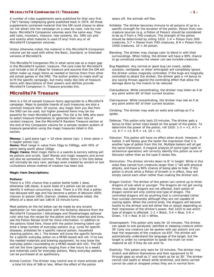#### **MICROLITE74 COMPANION II: TREASURE - 1 -**

A number of rules supplements were published for that very first ("0e") fantasy roleplaying game published back in 1974. All those supplements contained material that the GM could choose to allow (or not allow) into her campaign on a case-by-case, rule-by-rule basis. *Microlite74 Companion* volumes work the same way. They add rules, monsters, treasure, new systems, etc. GMs can pick and exactly what material is used (if any) from any or all *Microlite74 Companion* volumes.

Unless otherwise noted, the material in this *Microlite74 Companion* volume can be used with either the Basic, Standard, or Extended versions of *Microlite74*.

This *Microlite74 Companion* fills in what some see as a major gap in the Microlite74 system: treasure. The core rules for Microlite74 just include a list of ideas for treasure and assume that the GM will either make up magic items as needed or borrow them from other old school games or the SRD. The author prefers to make stuff up to fit the specific campaign, but many really like lists of treasure items with descriptions of their powers and abilities provide. *Microlite74 Companion II: Treasure* provides this.

### *Microlite74 Treasure*

Here is a list of sample treasure items appropriate to a *Microlite74* campaign. Maps to possible hoards of such treasures are also a common treasure item. Of course, any magic item you like from the SRD can be used, but higher powered items may be too powerful for most Microlite74 games. This list is for GMs who want to select treasure themselves or generate their own lists of random treasure. See the Microlite74 Random Treasure section at the end of this Companion volume for a sample random system of treasure generation using the magic treasures listed in this section.

**Money:** 1 gold piece (gp) = 10 silver pieces (sp); 1 silver piece = 5 copper pieces (cp).

**Gems:** Most range in value from 10gp to 1000gp, with 50% of gems being worth about 100gp.

**Magic Items:** Most magic items in a swords & sorcery setting will be potions and scrolls. Spell Wands and magic weapons and armor will also be somewhat common. The other items in the lists below will normally be very rare: perhaps even created by ancient or lost civilizations whose method of creation has been lost.

#### **Magic Item Descriptions:**

#### **Potions:**

There is a 70% chance that a potion bottle holds 1 dose, otherwise 1d6 doses. A quick taste of a potion can be used to identify it without consuming a dose. There is a 5% that a potion has decayed with age and has become a potion of delusion (60% chance) or poison (40% chance). Useless otherwise noted, the effects of a dose will last 1d6+6 10 minute turns.

Most potions on the list below can be made by any arcane spellcaster (or non-spellcaster with the Alchemy advance from the *Microlite74 Companion I* Advantages and Disadvantages optional rule) who has the recipe for the potion and the materials and time, see the Potion Recipe scroll for more information. In addition to the potions listed here, those with the potion brewing talent can brew a large number of everyday potions (e.g. cures for specific diseases, antidotes for a specific natural poison, household cleaning potions, etc.). The brewer will know the specific formula for a specific everyday potion on a MIND-based skill roll. If he has the needed materials and brewing equipment, he may brew the everyday potion (succeeding on a MIND-based skill roll). The GM will set the time (generally ranging from a few hours to a week) and materials costs for everyday potions. Many everyday potions can be purchased at an apothecary.

*Animal Control:* The drinker may control one or more animals with a total hit dice of 3d6 or less. When the effect of the potion

wears off, the animals will flee.

- *Antidote:* The drinker becomes immune to all poisons of up to a specific strength for the duration of the potion. Poison from noncreature sources (e.g. a Potion of Poison) should be considered to be as if from a 7HD creature. The strength of the potion should be determined by rolling 1d10:  $1-4$  = Poison from 3HD creatures,  $5-7$  = Poison from 7HD creatures,  $8-9$  = Poison from 15HD creatures, 10 = All poison.
- *Blending:* The drinker may change color to blend in with their surroundings. When hiding, the drinker will have a 90% chance to go unnoticed unless the viewer can see invisible creatures.
- *Bug Repellent:* Any normal or giant bug (an insect, spider, scorpion, centipede, or other arthropod) will completely ignore the drinker unless magically controlled. If the bugs are magically controlled to attack the drinker, the drinker gets  $a + 4$  bonus to any saving throws against the controlling effect that allow the damage done by the insects to be reduced.
- *Clairaudience:* While concentrating, the drinker may listen as if at any point within 60' of their current location.
- *Clairvoyance:* While concentrating, the drinker may see as if at any point within 60' of their current location.

*Climbing:* The drinker may walk on walls and ceilings as if a spider.

- *Defense:* This potion only lasts 10 minutes. The drinker gets a bonus to their armor class based on the power of the potion. To determine the power of the potion, roll 1d10:  $1-3 = +1$ ,  $4-5 =$ +2, 6-7 = +3, 8-9 = +4, 10 = +5.
- *Delusion:* This potion will have no effect when drunk. However, if tasted, it will falsely give the taster the impression that it is another type of potion from this list. Multiple tasters will all get the same impression. A magical analysis of some type (spell or alchemical operation) will correctly identify this potion as one of Delusion rather than as the type it tastes like.
- *Diminution:* The drinker shrinks down to 6" in height. While in this state they cannot hurt creatures larger than 1' tall with physical attacks, and have a 90% chance of being able to hide. If this potion is drunk while a Potion of Growth is in effect, they will simply cancel each other rather than making the drinker sick.
- *Dragon Control:* The drinker of this potion can control up to three dragons of sub-adult or younger. The dragons do not get saving throws, but older dragons are not affected. Each potion of dragon control will only control one type of dragon. The controlled dragons will do anything that is commanded (other than suicidal commands) although they are not capable of casting spells. When the control ends, the dragons will become hostile to the drinker and will either flee or attack depending on their impression of the drinker's power. Roll 1d10 to see which type of dragon is affected:  $1-2 = Black$ ,  $3-4 = Blue$ ,  $5-6 =$ Green,  $7 - 8 = Red$ ,  $9 - 10 = White$ .
- *Dreamspeech:* This potion only lasts for 10 minutes. The drinker can speak to one paralyzed, petrified or sleeping creature within 30' (only one creature can be spoken with per potion) and can hear the responses of the creature via ESP. The drinker will automatically understand the language of the target, but the target is under no compulsion to speak the truth (or even respond at all) if they do not wish to.
- *Elasticity:* This potion only lasts for 10 minutes. The drinker may stretch and deform themselves and their equipment to fit through gaps as small as 1" and reach as far as 30'. The drinker cannot cast spells or attack while stretched, and items carried cannot be used or dropped unless they are in normal form.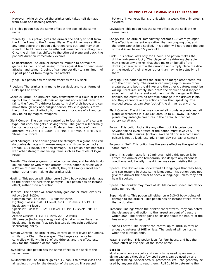#### **-2- MICROLITE74 COMPANION II: TREASURE**

However, while stretched the drinker only takes half damage from blunt and bashing attacks.

*ESP:* This potion has the same effect at the spell of the same name.

*Ethereality:* This potion gives the drinker the ability to shift from the Prime Plane to the Ethereal Plane. The drinker may shift at any time before the potion's duration runs out, and may then spend up to 24 hours on the ethereal plane before shifting back. Once the drinker has shifted to the ethereal plane and back, the potion's duration immediately expires.

*Fire Resistance:* The drinker becomes immune to normal fire, gains a +2 bonus on all saving throws against fire or heat based attacks, and takes –1 point of damage per die (to a minimum of 1 point per die) from magical fire attacks.

*Flying:* This potion has the same effect as the Fly spell.

*Freedom:* The drinker is immune to paralysis and to all forms of Hold spell or effect.

*Gaseous Form:* The drinker's body transforms to a cloud of gas for up to 1 hour, causing all their equipment and carried items to fall to the floor. The drinker keeps control of their body, and can move through any non-airtight barrier. While in gaseous form, the drinker cannot attack, but has an armor class of –2 and can only be hit by magical weapons.

*Giant Control:* The user may control up to four giants of a certain type, but each one gets a saving throw. The giants will normally be hostile once control ends. To determine the type of giant affected, roll 1d6:  $1 =$  Cloud,  $2 =$  Fire,  $3 =$  Frost,  $4 =$  Hill,  $5 =$ Stone, 6 = Storm.

*Giant Strength:* The drinker gains the strength of a giant, and can do double damage with melee weapons or throw large rocks (range: 60/130/200) for 3d6 damage. This potion does not stack with other strength enhancing items such as Gauntlets of Ogre Power.

*Growth:* The drinker grows to twice normal size, and be able to do double damage with melee attacks. If this potion is drunk while a Potion of Diminution is in effect, they will simply cancel each other rather than making the drinker sick.

*Healing:* This potion will either cure 1d3+1 body points of damage to the drinker or cure their paralysis. This potion has an instant effect, rather than a duration.

*Heroism:* The drinker will temporarily gain one or more levels as follows (roll 1d20):

Common Man (no class): +3 Fighter levels.

Fighting Classes: 1-8: +1 level, 9-14: +2 levels, 15-19: +3 levels 20: +4 levels

Specialist Classes: 1-12: +1 level, 13-19: +2 levels, 20: +3 levels

Arcane Classes: 1-19: +1 level, 20: +2 levels

All damage (including energy drains) is taken from the extra levels and hit points first. Spellcasters do not gain additional spellcasting ability.

*Human Control:* The drinker may control up to 6 levels of humans, similar to a Charm Person spell. The targets can only be controlled while within 60' of the drinker, and the effect lasts only for the duration of the potion.

*Invisibility:* This potion has the same effect as the spell of the same name.

*Invulnerability:* The drinker gains a +2 bonus to armor class and all saving throws for the duration of the potion. If a second

Potion of Invulnerability is drunk within a week, the only effect is sickness.

- *Levitation:* This potion has the same effect as the spell of the same name.
- *Longevity:* The drinker immediately becomes 10 years younger. The effect is an instant one rather than an ongoing one, and therefore cannot be dispelled. This potion will not reduce the age of the drinker below 15 years old.

*Luck:* This potion lasts only for 1 hour. The potion makes the drinker extremely lucky. The player of the drinking character may choose any one roll that they make on behalf of the drinking character within the duration and simply place the dice on the result of their choice rather than having to actually roll them.

*Merging:* This potion allows the drinker to merge other creatures into their own body. The drinker can merge up to seven other creatures, and both the drinker and the other creatures must be willing. Creatures simply step "into" the drinker and disappear along with their items and equipment. While merged with the drinker, the creatures do not take damage if the drinker is hit, and they cannot take any actions other than speaking. The merged creatures can step "out of" the drinker at any time.

- *Plant Control:* The drinker may control all mundane plants and all plantlike creatures in a 30'x30' area up to 60' away. Mundane plants may entangle creatures in their area, but cannot otherwise attack.
- *Poison:* This potion looks like any other, but it is poisonous. Anyone taking even a taste of the potion must save vs STR or die within 1d6 minutes. (Option: save vs Str or in a coma until poison is neutralized, lose 1d2 BP per day per day of coma.)
- *Polymorph Self:* This potion has the same effect as the spell of the same name.
- *Sight:* This potion lasts for 10 minutes. While this potion is in effect, the drinker can temporarily see despite any blindness conditions. Additionally, the drinker may see invisible things.
- *Speech:* The drinker can understand all languages that they hear, and can respond in those same languages. This potion does not give the drinker the power to speak a language unless they first hear it spoken.
- *Speed:* The drinker may move at double normal speed and attack twice per round.
- *Super Healing:* This potion will either cure 2d3+3 body points of damage to the drinker. This potion has an instant effect, rather than a duration.
- *Treasure Finding:* When the drinker concentrates, they can detect the distance and direction to the largest amount of treasure within 360'. The drinker gains no insight about the nature of the treasure or how to get to it.
- *Undead Control:* The drinker can control up to 18HD in total of undead creatures of 9HD or less. The undead will be hostile when the duration ends.

#### **Scrolls**

Most scrolls contain spells and can only be used by arcane or divine casters although a few spell scrolls can be used by any intelligent being. Special scrolls (protection, etc.) can generally be used by anyone able to read them. Roll 1d20 to determine the

*Water Breathing:* This potion lasts for four hours, and has the same effect as the spell of the same name.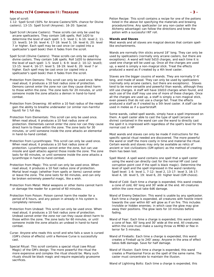#### **MICROLITE74 COMPANION II: TREASURE - 3 -**

type of scroll:

1-12: Spell Scroll (50% for Arcane Casters/50% chance for Divine casters); 13-15: Spell Scroll (Anyone); 16-20: Special.

- *Spell Scroll (Arcane Casters):* These scrolls can only be used by arcane spellcasters. They contain 1d6 spells. Roll 1d20 to determine the level of each spell: 1-5: level 1; 6-10: level 2; 11- 13: level3; 14-16: level 4; 17-18: level 5; 19: level 6; 20: level 7 or higher. Each spell may be cast once (or copied into a spellcaster's spell book) then it fades from the scroll.
- *Spell Scroll (Divine Casters):* These scrolls can only be used by divine casters. They contain 1d6 spells. Roll 1d20 to determine the level of each spell: 1-5: level 1; 6-9: level 2; 10-12: level3; 13-15: level 4; 16-17: level 5; 18-19: level 6; 20: level 7 or higher. Each spell may be cast once (or copied into a spellcaster's spell book) then it fades from the scroll.
- *Protection from Demons:* This scroll can only be used once. When read aloud, it produces a 10 foot radius zone of protection. Demons cannot enter the zone nor can they cause direct harm to those within the zone. The zone lasts for 20 minutes, or until someone inside the zone attacks a demon in hand-to-hand combat.
- *Protection from Drowning:* All within a 10 foot radius of the reader gain the ability to breathe underwater (or similar non-harmful liquid) for 1 full day.
- *Protection from Elementals:* This scroll can only be used once. When read aloud, it produces a 10 foot radius zone of protection. Elementals cannot enter the zone nor can they cause direct harm to those within the zone. The zone lasts for 30 minutes, or until someone inside the zone attacks an elemental in hand-to-hand combat.
- *Protection from Lycanthropes:* This scroll can only be used once. When read aloud, it produces a 10 foot radius zone of protection. Lycanthropes cannot enter the zone, but can use missile and spell attacks against those inside the zone. The zone lasts for 60 minutes, or until someone inside the zone attacks a lycanthrope in hand-to-hand combat.
- *Protection from Magic:* This scroll can only be used once. When read aloud, it produces a 10 foot radius zone of protection. Mortal level magic (whether from spells or items) cannot enter or leave the zone. The zone lasts for 60 minutes, and can only be broken extremely powerful magic, like a wish.
- *Protection from Metal:* Metal weapons or other items cannot harm or damage the reader for a period of 60 minutes.
- *Protection from Poison:* Poison cannot harm the reader for a period of 6 hours, and any poison in already in his system is completely removed.
- *Protection from Undead:* This scroll can only be used once. When read aloud, it produces a 10 foot radius zone of protection. Undead cannot enter the zone nor can they cause direct harm to those within the zone. The zone lasts for 60 minutes, or until someone inside the zone attacks an undead in hand-to-hand combat.
- *Curse:* Anyone who reads this scroll and who fails a save is cursed (GM's choice of effects) until a Remove Curse is successfully cast.
- *Special Ritual:* This scroll contains a special ritual (see Ritual Magic) of the GM's design. The more powerful the ritual the more expensive and complex the ritual should be. Many such rituals should be black magic and require especially gruesome sacrifices.

*Potion Recipe:* This scroll contains a recipe for one of the potions listed in the above list specifying the materials and brewing procedure/time. Any spellcaster (or any non-caster with the Alchemy advantage) can follow the directions and brew the potion with a successful INT roll.

#### **Wands and Staves**

Most wands and all staves are magical devices that contain spelllike enchantments.

Wands are normally thin sticks around 18" long. They can only be used by spellcasters (normally only arcane casters, but there are exceptions). A wand will hold 5d10 charges, and each time it is used one charge will be used up. Once all the charges are used up, a wand is simply a non-magical stick. Treat the effects produced a wand as if created by a 4th level caster.

Staves are the bigger cousins of wands. They are normally 5'-6' long, and made of wood. They can only be used by spellcasters (normally only arcane casters, but there are exceptions). Staves tend to be more versatile and powerful than wands, although they still use charges. A staff will have 10d10 charges when found, and each use of the staff may use one of more of these charges. Once all the charges are used up, a staff is simply a non-magical stick, even powers that do not use a charge fail. Treat the effects produced a staff as if created by a 5th level caster. A staff can be used in melee as if a quarterstaff.

Some wands, called spell wands, simply have a spell impressed on them. A spell caster able to cast the type of spell (arcane or divine) contained in the wand can use the wand to directly cast the spell it is impressed with regardless of the spell's level for the normal cost in HP

Most wands and staves can only be made if instructions for the specific special ritual needed are discovered. The more powerful the wand or staff the more costly in time and material the ritual. Certain wands and staves may only be available as relics of ancient or lost civilizations (GM option) as the method of creating them has been lost.

- *Spell Wand:* A spell wand contains one spell that a spell caster using the wand can directly cast for the normal HP cost (and corruption point cost if the spell is black magic). Determine the level of spell and the spell impressed in the wand randomly. Spell level: 1-6: level 1, 7-12: level 2, 13-17: level 3, 16-17: level 4, 18: level 5, 19: level 6, 20: higher level (GM choice).
- *Wand of Cold:* Each time a charge is expended, this wand creates a cone of cold, 60' long and 30' wide at the end. All creatures within the cone must take 6d6 damage.
- *Wand of Enemy Detection:* This wand is usable by any spellcaster. Each time a charge is expended, all creatures with hostile intent towards the user within 60' will glow as if on fire. This includes Invisible or hidden enemies; in which case the glow may give away their positions. The glow lasts for 10 minutes before fading.
- *Wand of Fear:* Each time a charge is expended, this wand creates a cone of fear, 60' long and 30' wide at the end. All creatures within the cone must make a saving throw vs MIND or flee in terror for 5 minutes.
- *Wand of Fireballs:* Each time a charge is expended, this wand creates a Fireball up to 240' away. Anyone in the area of effect takes 6d6 damage. Save for half damage.
- *Wand of Illusion:* Each time a charge is expended, this wand creates a Phantasmal Force as the spell of the same name. The caster must concentrate to maintain the illusion.

*Wand of Lightning Bolts:* Each time a charge is expended, this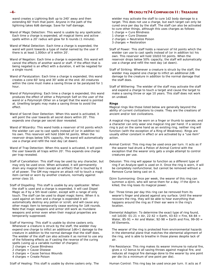#### **-4- MICROLITE74 COMPANION II: TREASURE**

wand creates a Lightning Bolt up to 240' away and then extending 60' from that point. Anyone in the path of the lightning takes 6d6 damage. Save for half damage.

- *Wand of Magic Detection:* This wand is usable by any spellcaster. Each time a charge is expended, all magical items and active spells within a 20' radius will glow for 6 rounds (1 minute).
- *Wand of Metal Detection:* Each time a charge is expended, the wand will point towards a type of metal named by the user if there is at least 1,000cn of it within 20'.
- *Wand of Negation:* Each time a charge is expended, this wand will cancel the effects of another wand or staff. If the effect that is being negated is an effect with a duration, it will be negated for a single round.
- *Wand of Paralyzation:* Each time a charge is expended, this wand creates a cone 60' long and 30' wide at the end. All creatures within the cone must make a saving throw or be paralyzed for 1 hour.
- *Wand of Polymorphing*: Each time a charge is expended, this wand produces the effect of either a Polymorph Self on the user of the wand or a Polymorph Other on a target that the wand is pointed at. Unwilling targets may make a saving throw to avoid the effect.
- *Wand of Secret Door Detection:* When this wand is activated, it will point the user towards all secret doors within 20'. This expends one charge per secret door revealed.
- *Wand of Wizardry:* This wand holds a reservoir of hit points which the wielder can use to cast spells instead of (or in addition to) his own. This reservoir will hold 10d4 hit points. When the reservoir drops below 50% capacity, the wand will automatically use a charge and refill the next day (at dawn).
- *Wand of Trap Detection:* When this wand is activated, it will point the user towards all traps within 20'. This expends one charge per trap revealed.
- *Staff of Cancellation:* This staff may be used by any character, but may only be used once. When activated, it will permanently drain any magical item (except an artifact) that is touched by it of all power. The GM may require an attack roll to touch a magic item carried or worn by another creature, normally against armor class 10.
- *Staff of Dispelling:* This staff is usable by any spellcaster. When the staff is used and a charge is expended, it will cast Dispel Magic as if by a 5th level caster, except with a range of only touch. The staff can be used to dispel magic items. When it is used against an item and a charge is expended it will automatically destroy any potion or scroll; and will cause any other magic item to temporarily cease working for 1d4 rounds. Note that magic weapons and armor still work as mundane weapons and armor even when their magical properties are temporarily suppressed.
- *Staff of Harming*: This staff is usable by divine casters only. Whenever a creature is struck by the staff, the wielder may expend one charge to inflict an additional 1d6+1 damage to the creature in addition to the normal damage that the staff does. The wielder of the staff can also activate it as normal to use any of the following effects as if casting the reverse of the curing spells (using up a variable number of charges): 2 charges = Cause Blindness

- 3 charges = Cause Serious Wounds
- 4 charges = Create Poison

*Staff of Healing:* This staff is usable by divine casters only. The

wielder may activate the staff to cure 1d2 body damage to a target. This does not use a charge, but each target can only be cured once per day by the staff. The staff can also be activated to cure other things, although this uses charges as follows:  $1$  charge = Cure Blindness

- 1 charge = Cure Disease
- 2 charges = Neutralize Poison
- 3 charges = Restoration
- *Staff of Power:* This staff holds a reservoir of hit points which the wielder can use to cast spells instead of (or in addition to) his own. This reservoir will hold 10d10 hit points. When the reservoir drops below 50% capacity, the staff will automatically use a charge and refill the next day (at dawn).
- *Staff of Striking:* Whenever a creature is struck by the staff, the wielder may expend one charge to inflict an additional 2d6 damage to the creature in addition to the normal damage that the staff does.
- *Staff of Withering:* The wielder of the staff may activate the staff and expend a charge to touch a target and cause the target to make a saving throw or age 10 years. This staff does not work on undead.

#### **Rings**

Magical rings like those listed below are generally beyond the ability of current civilizations to create. They are the creations of ancient and/or lost civilizations.

A magical ring must be worn on a finger or thumb to operate, and a character can only wear one magical ring per hand. If a second ring is put on the same hand as an existing ring, neither ring will function (with the exception of a Ring of Weakness). Rings are usually either constant in effect or are activated by a "use item" action.

- *Animal Control:* This ring may be used once per turn. It acts as if the wearer had drunk a Potion of Animal Control with the exception that the wearer only gets a single attempt to control creatures per use.
- *Delusion:* This ring will appear to function as a different type of ring if an Analyze spell is used on it. Once the ring is worn, it will be completely nonfunctional, but cannot be removed without a Remove Curse being cast on it.
- *Djinn Summoning:* Once per week, the wearer of this ring can summon a djinn, who will serve them for a day. If the djinn is killed, the ring loses its magical power.
- *Ear:* Three times per day this ring can be removed from its wearer's finger and placed against any surface. Until the wearer recovers the ring, they will be able to hear everything that happens around the ring as if their ear were in the ring's location.
- *Elemental Adaption*: To determine the exact type of ring found, roll 1d100: 01-21 = Air, 22-42 = Earth, 43-63 = Fire, 64-84 = Water, 85-91 = Air and Water, 92-98 = Earth and Fire, 99-00 = All Elements.

The wearer of the ring is protected from environmental hazards in the elemental plane that matches the elemental alignment of the ring, and is able to breathe in those planes despite lack of air.

*Fire Resistance:* This ring makes its wearer immune to natural fire, gives a +2 bonus to all saving throws against magical fire, and reduces all magical fire damage done to the wearer by one point per die (to a minimum of one point per die).

*Human Control:* This ring bay be used once per turn. It acts as if

<sup>2</sup> charges = Cause Disease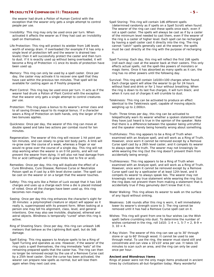#### **MICROLITE74 COMPANION II: TREASURE - 5 -**

the wearer had drunk a Potion of Human Control with the exception that the wearer only gets a single attempt to control people per use.

- *Invisibility:* This ring may only be used once per turn. When activated it affects the wearer as if they had cast an Invisibility spell on themselves.
- *Life Protection:* This ring will protect its wielder from 1d6 levels worth of energy drain. If overloaded (for example if it has only a single level of protection left and the wearer is drained two levels) then it will successfully protect the caster and then turn to dust. If it is exactly used up without being overloaded, it will become a Ring of Protection +1 once its levels of protection have been used up.
- *Memory:* This ring can only be used by a spell caster. Once per day, the caster may activate it to recover one spell that they have cast within the previous ten minutes. That spell will be available for casting again as if freshly prepared.
- *Plant Control:* This ring bay be used once per turn. It acts as if the wearer had drunk a Potion of Plant Control with the exception that the wearer only gets a single attempt to control creatures per use.
- *Protection:* This ring gives a bonus to its wearer's armor class and to all saving throws equal to its magical bonus. If a character wears a Ring of Protection on both hands, only the larger of the two bonuses applies.
- *Quickness:* Once per day, the wearer of this ring can move at double speed and take two actions per combat round for ten minutes.
- *Regeneration:* The wearer of this ring will recover 1 hit point per ten minutes, and can slowly re-grow lost body parts. A limb will re-grow over the course of a week, whereas a finger or ear would re-grow over the course of a single day. This ring will not stop working when the wearer is on 0 hit points, and will not prevent the wearer from dying. It will also not heal damage from fire or acid (although will re-grow limbs lost to fire or acid).
- *Remedies*: Once per day, this ring will duplicate the effect of a Cure Blindness, Cure Disease, Remove Curse or Neutralize Poison spell as if cast by a 6th level divine caster. The spell can be cast on the wearer or on a target that the wearer touches.
- *Safety:* This ring acts like a Potion of Luck except that it has 1d4 charges and uses up a charge each time a die is placed instead of rolled. Once all the charges have been used up, this ring becomes non-magical.
- *Seeing:* Once per day this ring enhances the character's sight for 30 minutes: a polymorphed creature or object will appear as it really is, superimposed with its present form. When looking at a person one may tell his alignment, class, level, and general intentions. One may also see invisible, displaced, ethereal and astral objects. Blindness is temporally "cured" when this ring is active.
- *Ring of Shooting Stars*: Once per day, this ring can unleash 1d6 meteors that behave as the *Lightning Bolt* spell, but do 3d6 damage.
- *Spell Eating:* This ring appears to Analyze spells to be a Ring of Spell Turning and operates as one. However, if the wearer of the ring casts a spell themselves, the ring immediate "eats" all the remaining prepared spells that the caster has. The ring can then no longer be removed except by the use of a Remove Curse cast by a 25th level caster. Once the curse has been activated, the wearer can prepare new spells as normal, but will lose them again when they next cast one.
- *Spell Storing:* This ring will contain 1d6 different spells (determined randomly as if spells on a Spell Scroll) when found. The wearer of the ring can cast these spells once each, even if not a spell caster. The spells will always be cast as if by a caster of the minimum level needed to cast them, even if the wearer of the ring is a caster of higher level. Each spell can be recharged by having a spell caster cast it directly into the ring. The ring cannot "catch" spells generally cast at the wearer; the spells must be cast directly at the ring with the purpose of recharging it.
- *Spell Turning:* Each day, this ring will reflect the first 2d6 spells (roll each day) cast at the wearer back at their casters. This only effects actual spells, not the spell-like powers of monsters or magic items. Once it has absorbed as many spells as it can, the ring has no other powers until the following day.
- *Survival:* This ring will contain 1d100+100 charges when found. Each charge spent will allow the wearer to go for 24 hours without food and drink or for 1 hour without breathing. When the ring is down to its last five charges, it will turn black; and when it runs out of charges it will crumble to dust.
- *Telekinesis:* This ring can be activated to produce an effect identical to the Telekinesis spell, capable of moving objects weighing up to 2,000cn.
- *Truth:* Three times per day, this ring can be activated to telepathically warn its wearer whether a spoken statement that they have just heard is true in the opinion of the speaker. Note that there is a difference between the speaker being untruthful and the speaker merely being honestly wrong about something.
- *Truthfulness:* This ring appears to be a Ring of Truth when examined with an Analyze spell, and will work as a Ring of Truth. However, once worn it cannot be removed except by a Remove Curse spell cast by a 26th level caster, and it compels its wearer to always speak the truth. The wearer may not knowingly lie while wearing the ring (but the ring doesn't prevent them from accidentally being wrong).
- *Truthlessness:* This ring appears to be a Ring of Truth when examined with an Analyze spell, and will work as a Ring of Truth. However, once worn it cannot be removed except by a Remove Curse spell cast by a spellcaster of at least 12th level, and it compels its wearer to always speak lies. The wearer may not knowingly make any true statement while wearing the ring (but the ring does not prevent them from making a statement that is accidentally true if they genuinely don't know that it is).
- *Water Walking:* This ring allows its wearer to walk on the surface of any liquid without sinking.
- *Weakness:* 1d6 rounds after this ring is worn, it will immediately lower its wearer's strength score to 3. The ring cannot be removed until it has had a Remove Curse spell cast on it.
- *Wishes:* This ring will grant from one to four wishes (as the Wish spell) before crumbling into dust. To determine the number of wishes contained in the ring, roll 1d10:  $1-4 = 1$ ,  $5-7 = 2$ ,  $8-9 = 1$  $3, 10 = 4.$
- *X-Ray Vision:* The wearer of this ring can see up to 30' through stone or up to 60' through wood. It cannot be used to see through metal. To use the ring, the wearer must stand still and concentrate and can view a 10'x10' area per use. It takes 10 minutes to scan such an area, and the ring can only be used once per hour.

#### **Ancient and Wondrous Items**

Rings of power were not the only magic items produced in ancient times by civilizations all-but-forgotten today. Many wonderful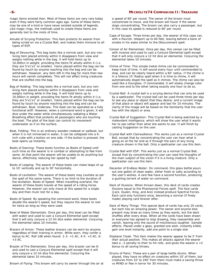#### **-6- MICROLITE74 COMPANION II: TREASURE**

magic items existed then. Most of these items are very rare today even if they were fairly common ages ago. Some of these items may be one of a kind or have never existed outside of legends. Like magic rings, the methods used to create these items are generally lost to the mists of time.

- *Amulet of Scrying Protection*: This item protects its wearer from being scried on via a Crystal Ball, and makes them immune to all types of ESP.
- *Bag of Devouring*: This bag looks like a normal sack, but any nonliving item placed entirely within it disappears from view and weighs nothing while in the bag. It will hold items up to 10,000cn in weight, providing the items fit wholly within it (i.e. they are 5'x1'x1' or smaller). Items placed within the bag can be found by touch by anyone reaching into the bag and can be withdrawn. However, any item left in the bag for more than two hours will vanish completely. This will not affect living creatures that are stuffed into the bag.
- *Bag of Holding:* This bag looks like a normal sack, but any nonliving item placed entirely within it disappears from view and weighs nothing while in the bag. It will hold items up to 10,000cn in weight, providing the items fit wholly within it (i.e. they are 5'x1'x1' or smaller). Items placed within the bag can be found by touch by anyone reaching into the bag and can be withdrawn. Boat, Undersea: This boat can be operated as a fully functional skiff. However, when a command word is given, it will dive under the water while simultaneously radiating a Water Breathing effect that protects all passengers who are touching the boat. The pilot of the boat can control its movement underwater as if on the surface.
- *Boat, Folding*: This is an ordinary wooden rowboat or sailboat, but when it is not immersed in water, it can be collapsed into a 6 inch cube with a button on one side. If the button is pressed, the boat opens up instantly.
- *Boots of Dancing*: These boots function as Boots of Speed until such time as the wearer is in combat or attempting to flee from same. At that point the wearer will be unable to do anything but dance, effectively reducing her speed by half.
- *Boots of Leaping:* The wearer of these boots can make leaps of up to 10' vertically and up to 30' horizontally.
- *Boots of Levitation:* The wearer of these boots may Levitate as per the spell of the same name. There is no limit to the duration of the levitation. Boots of Speed: When travelling overland, the wearer of these boots travels at the speed of a riding horse. However, the wearer can only move at this speed for a single day and then must rest for a day.
- *Boots of Speed*: By speaking the command word, these boots double the wearer's speed, but they require the wearer to rest for twice as long as they were used.
- *Bowl of Water Elementals:* Once per day, this bowl can be filled with water and used to cast a Conjure Elemental spell except that it will only conjure a 12 hit dice water elemental. Conjuring the elemental takes 10 minutes.
- *Bracers of Armor*: These leather bracers can be worn by anyone, regardless of their training in armor. While worn, they confer a bonus to AC. Roll 1d6 when found: 1-3: +1 AC, 4-5: +2 AC, 6: +3 AC.
- *Brazier of Fire Elementals:* Once per day, this brazier can be lit and used to cast a Conjure Elemental spell except that it will only conjure a 12 hit dice fire elemental. Conjuring the elemental takes 10 minutes.

*Broom of Flying:* This broom will carry its owner through the air at

a speed of 80' per round. The owner of the broom must concentrate to move, and the broom will hover if the owner stops concentrating. The broom can also carry a passenger, but in this case its speed is reduced to 60' per round.

- *Cape of Escape*: Three times per day, the wearer of this cape can, with a flourish, teleport up to 60 feet, leaving behind a bank of smoke in his wake similar to the *Obscurement* spell.
- *Censer of Air Elementals:* Once per day, this censer can be filled with incense and used to cast a Conjure Elemental spell except that it will only conjure a 12 hit dice air elemental. Conjuring the elemental takes 10 minutes.
- *Chime of Time:* This simple metal chime can be commanded to keep track of time. It will sound every hour until commanded to stop, and can be clearly heard within a 60' radius. If the chime is in a Silence 15' Radius spell when it is time to chime, it will automatically dispel the spell as it chimes. The chime can also be used like a hourglass. If commanded, it will slowly change color from one end to the other taking exactly one hour to do so.
- *Crystal Ball:* A crystal ball is a scrying device that can only be used by a spellcaster. The crystal ball can be used three times per day to see any place or object that they desire; and a current image of that place or object will appear and last for 10 minutes. The clarity of the image will be based on the familiarity that the user has with the object or area.
- *Crystal Ball of Suggestion*: This Crystal Ball is being watched by a malevolent intelligence, which will show the user what it wants her to see rather than what she wants to see. It will finish by casting *Suggestion* on the user.
- *Crystal Ball with Clairaudience:* This works just as a normal Crystal Ball, except that by concentrating the user can hear what is going on at the far end as if through the ears of any living creature shown in the ball. Only a spellcaster can use this item.
- *Crystal Ball with ESP:* This works just as a normal Crystal Ball, except that by concentrating the user can read the thoughts of the main subject of the vision if it is a living creature. Only a spellcaster can use this item.
- *Decanter of Endless Water*: On command, this glass bottle pours out one gallon of clean water, either fresh or salty according to the user's wishes. A rare few have a second function, producing a gushing torrent of water on command.
- *Deck of Illusions*: When thrown down, this deck of cards creates illusions equal to the *Phantasmal Forces* spell. The face cards (Jack, Queen, King, and Ace) instead produce *Spectral Forces*. Each card only functions once, becoming a normal (if finely made) playing card forever after.
- *Deck of Many Things*: This special deck of cards has only 20 cards, but each has an amazing power. The owner and anyone else present may draw as many times as they wants, but the deck shuffles after every draw. When all the cards have been drawn or everyone has agreed to stop drawing, they reassemble and vanish, leaving only the sound of mischievous laughter. Sample effects: Placed under a geas, granted one wish, instantly killed, gain one level instantly, add one point to a single stat.
- *Displacer Cloak:* This item makes the wearer appear to be 5' from their actual position. This makes all attacks against the wearer take  $a - 2$  penalty to their to-hit rolls, and gives the wearer  $a + 2$ bonus to all saving throws.
- *Drums of Panic:* These are a pair of large kettle drums. When played, they have no effect on creatures within 10' of them, but creatures from 10' to 240' from them must make a saving throw vs MIND or flee in terror for 30 minutes.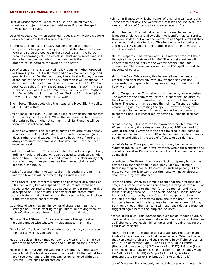#### **MICROLITE74 COMPANION II: TREASURE - 7 -**

- *Dust of Disappearance*: When this dust is sprinkled over a creature or object, it becomes invisible as if under the spell *Invisibility* for 1 turn.
- *Dust of Appearance*, when sprinkled, reveals any invisible creature or object within 5 feet of where it settles.
- *Efreeti Bottle:* This 3' tall heavy jug contains an efreeti. The stopper may be opened once per day, and the efreeti will come forth and serve the opener. If the efreeti is slain, the bottle becomes non-magical. The efreeti is reluctant to serve, and will do its best to use loopholes in the commands that it is given in order to cause harm to the owner of the bottle.
- *Egg of Wonder:* This is a painted hollow eggshell. When dropped or throw (up to 60') it will break and an animal will emerge and grow to full size. For the next hour, the animal will obey the user of the egg to the best of its ability; and then it will disappear. To determine the type of animal that is summoned, roll  $1d12: 1 =$ Ape (Rock Baboon),  $2 =$  Bat (Giant),  $3 =$  Bear (Black),  $4 =$  Bear (Grizzly),  $5 = Boar$ ,  $6 = Cat$  (Mountain Lion),  $7 = Cat$  (Panther),  $8$  = Ferret (Giant),  $9$  = Lizard (Giant Gecko),  $10$  = Lizard (Giant Draco),  $11 =$  Snake (Racer),  $12 =$  Wolf.
- *Elven Boots:* These boots give their wearer a Move Silently ability of 75%, like a thief.
- *Elven Cloak:* This cloak is just like a Ring of Invisibility except that its invisibility is not perfect. When the wearer is in the presence of creatures that might notice them, their faint outline will be seen if a 1 is rolled on 1d6.
- *Figurine of Wonder*: This is a small carved statuette of an animal. It works like an *Egg of Wonder*, but when time runs out (or if it dies), rather than disappearing it turns back into a figurine. It always produces the same kind of animal, and it can be used once per week.
- *Flask of the Alchemist*: This flask can be filled with one pint of any ordinary liquid. Additionally, it can be used to produce a single dose of 1d4+1 randomly-selected potions. This latter ability only works as many times per week as the number of different potions it can make.
- *Flask of Curses*: When the wax seal on this bottle is broken, the one who broke it will be affected by a random curse.
- *Flying Carpet:* This carpet will carry one passenger at a speed of 100' per round, two at a speed of 80' per round, three at a speed of 60' per round, four at a speed of 40' per round, or five at a speed of 20' per round. The owner of the carpet must concentrate to make it move, and the carpet will hover in place if the owner stops concentrating.
- *Gauntlets of Ogre Power:* The owner of these gauntlets has a strength of 18 while wearing the gauntlets, but taking them off return's the owner's strength back to its normal value.
- *Girdle of Giant Strength:* Anyone who wears this girdle does double damage with whatever melee attacks they make.
- *Goggles of Infravision*: While wearing these lenses, you can see in the dark as well as you can in light.
- *Hat of Disguise*: Three times per day, the wearer of this hat can alter their appearance as *Change Self*, including their clothes.
- *Helm of Blindness:* Anyone wearing this helmet is immediately made blind. The blindness cannot be cured until the helmet has been removed, and the helmet cannot be removed without a Remove Curse spell being cast on it.
- *Helm of Brilliance*: At will, the wearer of this helm can cast *Light*. Three times per day, the wearer can cast *Wall of Fire*. Also, the wearer gains a +10 bonus to any saves against fire.
- *Helm of Reading:* This helmet allows the wearer to read any language or cipher, and allows them to identify magical scrolls. However, it does not allow the wearer to use Spell Scrolls if they are not normally able to do so. This helmet is rather delicate, and has a 10% chance of being broken each time its wearer is struck in combat.
- *Helm of Telepathy:* The wearer of this helmet can transmit their thoughts to any creature within 60'. The target creature will understand the thoughts of the wearer despite language differences. The wearer may also use the ESP spell to read the thoughts of others.
- *Helm of the Sea*: While worn, this helmet allows the wearer to breathe and fight normally with any weapon she can use underwater, and grants her buoyancy enough to swim even if heavily armored.
- *Helm of Teleportation:* This helm is only usable by arcane casters. The wearer of the helm may use the Teleport spell as often as they like to teleport themselves, with the normal chances of failure. The wearer may also use the helm to Teleport another creature (again, as if casting the spell). However, doing this discharges the helmet and it can no longer be used for any teleporting until it is recharged by having a Teleport spell cast into it.
- *Horn of Blasting:* This horn can be blown once per ten minutes. When it is blown, it creates a cone of sound 100' long and 20' wide at the end. Everyone in the area must take 2d6 damage and make a saving throw vs STR or be deafened for ten minutes. Buildings and ships in the area of effect take 1d8 damage.
- *Horn of Valhalla*: Once per day, this horn may be blown to summon the souls of 2d4 brave warriors, who fight alongside the one who blew it as Berserkers for one hour. Their weapons count as magical.
- *Horseshoes of Swiftness*: Function as *Boots of Speed*, but can be attached to the feet of any horse, pony, donkey, or mule (including magical horse-like creatures such as pegasi). All four must be worn for it to work, but the horse will never throw a shoe while they are attached.
- *Hurricane Lamp:* When this lamp is opened for the first time in a day, a hurricane of wind and rain emerge. Everyone within 30' of the lamp is knocked to the floor for three rounds, and must make a saving throw vs. DEX to avoid having all loose items or items held or carried by them (including weapons, but not including clothing) is scattered throughout the area. Once the hurricane has ended, the lamp may be used as a Lamp of Long Burning, although the hurricane will reset each day and must be triggered again before the lamp can be used.
- *Incense of Miracles*: This incense can burn for up to four hours. A cleric or druid who prepares spells while the incense is lit does so as if she were two levels higher, up to and including having the next level of spells.
- *Ioun Stone*: Mined from the core of a dead star, there are eight kinds of ioun stone, each with different effects. When activated, they can slowly orbit around their owner's body if she so desires. Roll 1d8 to determine type: 1-Red (+1 to STR) 2-Orange (Reduce all damage by 1) 3-Yellow (+1 to DEX) 4-Green (User does not need to eat, drink, sleep, or breathe unless they want to) 5-Blue  $(+1$  to MIND) 6-Purple  $(+1$  to CHA) 7-White (Regenerate 1 BP/turn) 8-Prismatic (+1 to all d20 rolls)

*Item of Delusion*: Roll randomly on the table again. Although this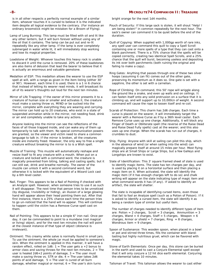#### **-8- MICROLITE74 COMPANION II: TREASURE**

is in all other respects a perfectly normal example of a similar item, whoever touches it is cursed to believe it is the indicated item despite all logical evidence to the contrary. (For instance an ordinary broomstick might be mistaken for a *Broom of Flying*).

- *Lamp of Long Burning:* This lamp must be filled with oil and lit like any other lantern, but it will burn forever without using any of the oil that it contains. The lamp can be put out and re-lit repeatedly like any other lamp. If the lamp is ever completely submerged in water while lit, it will immediately stop working and lose its magical properties.
- *Loadstone of Weight*: Whoever touches this heavy rock is unable to discard it until the curse is removed. 20% of these loadstones are also *items of delusion* that lead the bearer to believe that it is actually an enormous and valuable gemstone.
- *Medallion of ESP:* This medallion allows the wearer to use the ESP spell at will, with a range as given in the item listing (either 30' or 90'). However, each time it is used, there is a 1 in 6 chance that instead of letting its wearer read minds, it will broadcast its all of its wearer's thoughts out loud for the next ten minutes.
- *Mirror of Life Trapping:* If the owner of this mirror presents it to a creature of human size or smaller and activates it, the creature must make a saving throw vs. MIND or be sucked into the mirror, complete with everything they are wearing and carrying. The mirror can hold up to 20 creatures, who exist in a state of suspended animation while in the mirror, not needing food, drink or air and completely unable to take any actions.

Anyone looking into the mirror can see the reflections of the faces of all those trapped inside, and can wake any of them up temporarily to talk with them. No special communication powers are granted, so the viewer and victim need to share a common language to talk in. If the mirror is broken, all the creatures inside are instantly freed. However, the only way to free a single creature without breaking the mirror is to is a Wish spell.

- *Muzzle of Training:* This muzzle will automatically reshape and resize itself to fit any creature with a mouth. When put on a creature and locked with a command word, the creature is magically prevented from biting, talking and casting spells; but it can still eat, drink and breathe normally. The owner of the muzzle can unlock it with a second command word, but otherwise it is locked with the equivalent of a Wizard Lock cast by a 6th level caster.
- *Nail, Finger:* This appears to be a Nail of Pointing if checked with an Analyze spell. However, when someone tries to use it as such it will disappear. The next time that person tries to be unnoticed (by disguise, Invisibility or hiding), an illusion of a large glowing hand will appear above their head pointing them out. After that first instance, there is a 25% chance each time the person tries to go un-noticed that the hand will re-appear. This will continue to happen until the victim has a Remove Curse spell cast on them.
- *Nail of Pointing:* This appears to be a simple 6" iron nail. Once per day, it can be commanded to point to a mundane (not magical or living) object, and for the next ten minutes the nail will point at the closest instance of that type of object (distance is irrelevant).
- *Ointment:* This creamy white salve is normally found in small jars. To use the ointment, the whole jar must be applied to someone's skin. When the ointment is applied in this manner, it will have a random effect, rolled on 1d6:  $1 =$  The user gets a +2 bonus to armor class and saving throws for the next ten minutes,  $2 =$  The user is healed  $2d6+2$  points of damage,  $3 =$  The user must make a saving throw vs. STR or die,  $4 =$  The user takes 2d6 points of acid damage,  $5 =$  The user is cured of all burn damage, whether magical or normal,  $6 =$  The user's skin turns

bright orange for the next 1d4 months.

- *Pouch of Security:* If this large sack is stolen, it will shout "Help! I am being stolen!" in common repeatedly for the next hour. The sack's owner can command it to be quiet before the end of the duration.
- *Quill of Copying:* When supplied with 1,000gp worth of rare inks, any spell user can command this quill to copy a Spell Scroll containing one or more spells of a type that they can cast onto a blank parchment. There is a 75% chance that the spells will be copied correctly, creating two identical Spell Scrolls, and a 25% chance that the quill will burst, becoming useless and depositing its ink over both parchments (both ruining the original and failing to make a copy).
- *Ring Gates*: Anything that passes through one of these two silver hoops (assuming it can fit) comes out of the other gate, preserving its momentum as it does so. One gate is set with a sapphire, the other is set with a carnelian.
- *Rope of Climbing:* On command, this 50' rope will wriggle along the ground like a snake, and even up walls and on ceilings. It can fasten itself onto any solid protrusion on a surface that it is climbing up, and will support up to 10,000cn of weight. A second command will cause the rope to loosen itself and re-coil.
- *Scarab of Protection:* This charm has 2d6 charges. Each time a curse is placed on the wearer, it will immediately target the wearer with a Remove Curse as if by a 36th level caster. Each Remove Curse uses up one charge. Additionally, it will block any Finger of Death or Obliterate spell (the reverse of the Raise Dead and Raise Dead Fully spells) cast at the wearer; and this also uses up one charge. When the scarab has run out of charges, it crumbles to dust.
- *Ship, Flying*: Anyone with skill at sailing can pilot this ship, which in the absence of wind (or when sailing into the wind) can magically prepare itself at around 15 miles per hour. Most flying ships are at Small Ships or Large Ships, but a few Galleys and Longships are known to exist.
- *Slate of Identification:* This 3' square framed sheet of slate is used to identify magic items. The slate has ten charges per day, and is used by placing it on a horizontal surface and then placing a magic item on it. When activated, the slate will identify the magic item (if it has enough charges left to do so) and chalk writing will appear on the slate indicating type of magic item and what command words it has (if any). If asked to identify an artifact, the slate will shatter.

The slate is incapable of identifying cursed items, even those that fail to fool an Analyze spell (such as a Potion of Poison). If it is asked to identify a cursed item, the slate will identify it as being a random type of similar but useful item.

The number of charges needed to identify different types of item are: Potion =  $2$  charges, Scroll =  $3$  charges, Ammunition =  $3$ charges, Wand = 4 charges, Staff = 5 charges, Weapon =  $6$ charges, Armor or shield = 7 charges, Ring = 8 charges, Wondrous item  $= 9$  charges.

- *Spoon of Sustenance*: This wooden spoon, when placed in a bowl or pot and stirred three times, fills the container with blandtasting but highly nutritious gruel, which can be flavored with magic.
- *Stone of Earth Elementals:* Once per day, this stone can be buried in the earth and used to cast a Conjure Elemental spell except that it will only conjure a 12 hit dice earth elemental. Conjuring the elemental takes 10 minutes.

*Talisman of Travel:* This talisman allows the wearer to cast either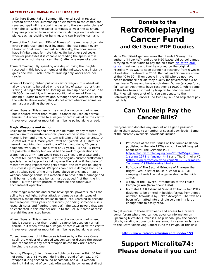#### **MICROLITE74 COMPANION II: TREASURE - 9 -**

a Conjure Elemental or Summon Elemental spell in reverse. Instead of the spell summoning an elemental to the caster, the reversed spell will transport the caster to the elemental plane of their choice. While the caster continues to wear the talisman, they are protected from environmental damage on the elemental plane, such as choking or burning, and can breathe normally.

- *Tome of the Archwizard*: 75% of Tomes of the Archwizard contain every Magic-User spell ever invented. The rest contain every Illusionist Spell ever invented. Additionally, the book seems to have infinite pages for note-taking. Unlike other spellbooks, whoever possesses it is capable of reading the spells within (whether or not she can cast them) after one week of study.
- *Tome of Training*: By spending one day studying the insights recorded in this book, a member of the indicated class instantly gains one level. Each Tome of Training only works once per reader.
- Wheel of Floating: When put on a cart or wagon, this wheel will allow the cart to be pulled on the surface of water rather than sinking. A single Wheel of Floating will hold up a vehicle of up to 10,000cn in weight, with every additional Wheel of Floating adding 5,000cn to that weight. Although these wheels will keep the vehicle above water, they do not effect whatever animal or animals are pulling the vehicle.
- *Wheel, Square:* This wheel is the size of a wagon or cart wheel, but is square rather than round. It cannot be used on normal terrain, but when fitted to a wagon or cart it will allow the cart to travel over desert or mountain as if being pulled along a road.

#### **Magic Weapons and Armor**

Basic magic weapons and armor can be made by any master weapon smith or master armorer, provided he or she has enough meteoric iron and time.  $A + 1$  item will take a full year to create. A  $+2$  item will take 4 more years (total of 5 years). A  $+3$  item is a lifework, requiring first creating a +2 item and doing 20 years additional work on it -- for a total of 25 years. +4 and +5 items are possible in theory but would be the work of generations of craftsmen as a +4 item would require 125 years to create and a +5 item 600 years to create, with the original/current craftsman's specially trained apprentice taking over the task -- if the chain of master training replacement gets broken, the item can no longer be successfully improved. Weapons can have a damage bonus as well. It takes 50% of the time listed above to enchant a magic weapon damage bonus. If a weapon is to have both a damage and a hit bonus, the damage bonus must be added first then the hit bonus – but the entire procedure must be one continuous enchantment operation.

Some magic weapons and armor have special powers such as the ability to shed light, better attack or damage certain types of creatures, magic effects similar to spells, etc. Learning to enchant such weapons takes years or research (or finding someone else's research notes and figuring them out). The exact powers that can be enchanted in this manner are up to the GM, but some of these rare abilities are listed below.

- *Wheel, Square:* This wheel is the size of a wagon or cart wheel, but is square rather than round. It cannot be used on normal terrain, but when fitted to a wagon or cart it will allow the cart to travel over desert or mountain as if being pulled along a road.
- *Cursed Weapons*: Until the curse is broken by a *Remove Curse* spell, the wielder of a cursed weapon cannot discard the weapon and cannot draw any other weapon unless they are already holding the cursed one.
- *Dancing Weapon/Shield*: Weapon fights on its own within 30 feet of owner, as  $a + 1$  weapon during first round of combat,  $a + 2$ weapon during second round of combat, and a +3 weapon during third round of combat. Afterwards, its owner must direct

## **Donate to the RetroRoleplaying Cancer Fund and Get Some PDF Goodies**

Many Microlite74 gamers know that Randall Stukey, the author of Microlite74 and other M20-based old school games is trying to raise funds to pay the bills from his wife's oral cancer treatments and that he worked on the original Microlite74 as way to cope during her recovery from 6 weeks of radiation treatment in 2008. Randall and Donna are some of the 40 to 50 million people in the US who do not have health insurance nor did they qualify for government aid as they live in Texas and have no children. Donna (successful so far) cancer treatments have cost over \$110,000. While some of this has been absorbed by hospital foundations and the like, they still owe a lot of it. You can donate to the Retroroleplaying Cancer Fund (via PayPal) and help them pay their bills.

## **Can You Help Pay the Cancer Bills?**

Everyone who donates any amount at all get a password giving them access to a number of special downloads. *Some* of the currently available downloads include:

- Pdf copies of the two issues of The Grimoire Randall published in the late 1970s (which Randall blogged about here: The Grimoire #1 ( http://blog.retroroleplaying.com/2009/05/grimoire-1-spring-1978-d-fanzine.html ) and The Grimoire #2 (http://blog.retroroleplaying.com/2009/05/grimoire-2-summer-1979-d-fanzine.html )
- Pdf copy of The Second Grimoire of Pharesm the Bright-Eyed, a set of house rules for a BECMI campaign Randall ran at a game shop in the mid-1980s.
- A copy of the Player's Introduction to the Fourth Campaign Arn (from about 1984)
- Microlite74 3.0 Extended Special Edition -- two PDFs designed to be printed in booklet format from Adobe Acrobat. Artwork is by Håkan Ackegård. The text has been reformatted into a single column in a large enough font to easily read.

To get access to these downloads and access to a private donor forum where you can get advance information on upcoming Microlite74 releases, help Randall pay the cancer bills by sending a donation in any amount -- small or large - to the RetroRoleplaying Cancer Fund via Paypal at this link:

**http://www.retroroleplaying.com/node/153**

## **Support Microlite74: Please donate if you can!**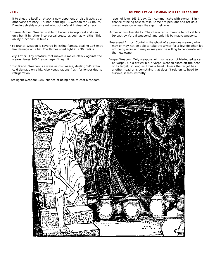#### **-10- MICROLITE74 COMPANION II: TREASURE**

it to sheathe itself or attack a new opponent or else it acts as an otherwise ordinary (i.e. non-dancing) +1 weapon for 24 hours. Dancing shields work similarly, but defend instead of attack.

- *Ethereal Armor*: Wearer is able to become incorporeal and can only be hit by other incorporeal creatures such as wraiths. This ability functions 50 times.
- *Fire Brand*: Weapon is covered in licking flames, dealing 1d6 extra fire damage on a hit. The flames shed light in a 30' radius.
- *Fiery Armor*: Any creature that makes a melee attack against the wearer takes 1d3 fire damage if they hit.
- *Frost Brand*: Weapon is always as cold as ice, dealing 1d6 extra cold damage on a hit. Also keeps rations fresh for longer due to refrigeration.

*Intelligent weapon*: 10% chance of being able to cast a random

 spell of level 1d3 1/day. Can communicate with owner, 1 in 4 chance of being able to talk. Some are petulant and act as a cursed weapon unless they get their way.

- *Armor of Invulnerability*: The character is immune to critical hits (except by Vorpal weapons) and only hit by magic weapons.
- *Possessed Armor*: Contains the ghost of a previous wearer, who may or may not be able to take the armor for a joyride when it's not being worn and may or may not be willing to cooperate with the new owner.
- *Vorpal Weapon*: Only weapons with some sort of bladed edge can be Vorpal. On a critical hit, a vorpal weapon slices off the head of its target, so long as it has a head. Unless the target has another head or is something that doesn't rely on its head to survive, it dies instantly.

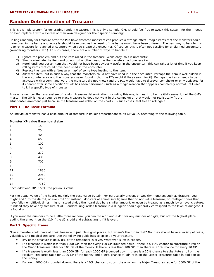## *Random Determination of Treasure*

This is a simple system for generating random treasure. This is only a sample. GMs should feel free to tweak this system for their needs or even replace it with a system of their own designed for their specific campaign.

Rolling randomly for treasure after the PCs have defeated monsters can produce a strange effect: magic items that the monsters could have used in the battle and logically should have used as the result of the battle would have been different. The best way to handle this is to roll treasure for planned encounters when you create the encounter. Of course, this is often not possible for unplanned encounters (wandering monsters, etc.). In such cases, there are a number of ways to handle it.

- Ignore the problem and put the item rolled in the treasure. While easy, this is unrealistic.
- 2) Simply eliminate the item and do not roll another. Assume the monsters had one less item.
- 3) Reroll until you get an item that would not have been obviously useful in the encounter. This can take a lot of time if you keep rolling items that could have been used in the encounter.
- 4) Replace the item with a "treasure map" of some type leading to the item.
- 5) Allow the item, but in such a way that the monsters could not have used it in the encounter. Perhaps the item is well hidden in the encounter area and the monsters never found it (but the PCs might if they search for it). Perhaps the items needs to be activated with a command word the monsters did not know (and the PCs would have to discover somehow) or only activates for its bearer after some specific "ritual" has been performed (such as a magic weapon that appears completely normal until used to kill a specific type of monster).

Always remember that any system of random treasure determination, including this one, is meant to be the GM's servant, not the GM's master. The GM is never required to place treasure he does not want in the campaign or that would not realistically fit the situation/environment just because the treasure was rolled on the charts. In such cases, feel free to roll again.

#### *Part 1: The Basic Formula*

An individual monster has a base amount of treasure in its lair proportionate to its XP value, according to the following table.

#### **Monster XP value Base hoard size**

| 1  | 15                                         |
|----|--------------------------------------------|
| 2  | 25                                         |
| 3  | 40                                         |
| 4  | 65                                         |
| 5  | 100                                        |
| 6  | 165                                        |
| 7  | 270                                        |
| 8  | 430                                        |
| 9  | 700                                        |
| 10 | 1130                                       |
| 11 | 1830                                       |
| 12 | 2960                                       |
| 13 | 4790                                       |
| 14 | 7750                                       |
|    | Each additional XP 150% the previous value |

For the actual value of the hoard, multiply the base value by 1d4. For particularly ancient or wealthy monsters such as dragons, you might add 1 to the d4 roll, or even roll 1d6 instead. Monsters of animal intelligence that do not value treasure, or intelligent ones that have fallen on difficult times, might instead divide the hoard size by a similar amount, or even be treated as a much lower-level creature, if indeed they have any treasure at all. Random, unguarded treasure in a dungeon should generally correspond to the level of dungeon it is found on.

If you want the numbers to be a little more random, you can roll a d6 and a d10 for any number of digits, but not the highest place, adding the amount on the d10 if the d6 is odd and subtracting it if it is even.

#### *Part 2: Specific Items*

Now a monster *could* have all their treasure in just plain gold pieces, but where's the fun in that? No, they should have a variety of coins, valuables, and magical treasure. Use the following guidelines to spice up your treasure.

- d% of the treasure is gold. d% of the remainder is silver. Whatever is left is copper.
- If a treasure is worth less than 1000 GP, then for every 100 GP (rounded down), there is a 10% chance to substitute a roll on the Minor Treasures table for 100 GP of the money. If there is less than 100 GP, then there is a 1% chance for every 10 GP.
- If a treasure is worth less than 5000 GP, for each 1000 GP (rounded down), there is a 10% chance to substitute a roll on the Medium Treasures table for 1000 GP of the money and a 10% chance of 1d4 rolls on the Lesser Treasures table in addition to the money.
- For each 5000 GP (rounded down), there is a 10% chance to substitute a roll on the Major Treasures table for 5000 GP of the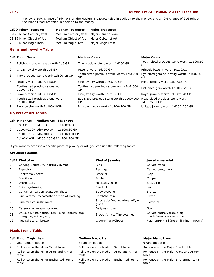#### **-12- MICROLITE74 COMPANION II: TREASURE**

money, a 10% chance of 1d4 rolls on the Medium Treasures table in addition to the money, and a 40% chance of 2d6 rolls on the Minor Treasures table in addition to the money.

|    | <b>1d20 Minor Treasures</b> | <b>Medium Treasures</b> | <b>Major Treasures</b> |
|----|-----------------------------|-------------------------|------------------------|
|    | 1-12 Minor Gem or Jewel     | Medium Gem or Jewel     | Major Gem or Jewel     |
|    | 13-19 Minor Object of Art   | Medium Object of Art    | Major Object of Art    |
| 20 | Minor Magic Item            | Medium Magic Item       | Major Magic Item       |

#### *Gems and Jewelry Table*

#### **1d8 Minor Gems Medium Gems Major Gems**  1 Polished stone or glass worth 1d6 GP Tiny precious stone worth 1d100 GP Tooth-sized precious stone worth 1d100x10 GP 2 Cheap jewelry worth 1d6 GP Jewelry worth 1d100 GP Princely jewelry worth 1d100x10 3 Tiny precious stone worth 1d100+25GP Tooth-sized precious stone worth 1d6x200 GP Eye-sized gem or jewelry worth 1d100x80 GP 4 Jewelry worth 1d100+25GP Fine jewelry worth 1d6x200 GP Royal jewelry worth 1d100x80 GP Tooth-sized precious stone worth 1d100+75GP Tooth-sized precious stone worth 1d6x300 Toom-sized precious storie worth Tubx300 Fist-sized gem worth 1d100x120 GP 6 Jewelry worth 1d100+75GP Fine jewelry worth 1d6x300 GP Royal jewelry worth 1d100x120 GP 7 Tooth-sized precious stone worth 1d100x10GP Eye-sized precious stone worth 1d100x100 GP Head-sized precious stone worth 1d100x200 GP 8 Fine jewelry worth 1d100x10GP Princely jewelry worth 1d100x100 GP Unique jewelry worth 1d100x200 GP

#### *Objects of Art Tables*

#### **1d4 Minor Art Medium Art Major Art**  1 1d6 GP 1d100 GP 1d100x10 GP

- 2 1d100+25GP 1d6x200 GP 1d100x80 GP
- 3 1d100+75GP 1d6x300 GP 1d100x120 GP
- 4 1d100x10GP 1d100x100 GP 1d100x200 GP

If you want to describe a specific piece of jewelry or art, you can use the following tables:

#### **Art Object Details**

|                | 1d12 Kind of Art                                                           | <b>Kind of Jewelry</b>                 | Jewelry material                                        |  |
|----------------|----------------------------------------------------------------------------|----------------------------------------|---------------------------------------------------------|--|
| $\mathbf{1}$   | Carving/Scultpure/Idol/Holy symbol                                         | Ring                                   | Carved wood                                             |  |
| 2              | Tapestry                                                                   | Earrings                               | Carved bone/ivory                                       |  |
| 3              | Book/scroll/poem                                                           | <b>Bracelet</b>                        | Clay                                                    |  |
| 4              | Furniture                                                                  | Anklet                                 | Copper                                                  |  |
| 5              | Urn/pottery                                                                | Necklace/chain                         | Brass/Tin                                               |  |
| 6              | Painting/drawing                                                           | Pendant                                | <b>Iron</b>                                             |  |
| $\overline{7}$ | Container (sarcophagus/box/theca)                                          | Body piercing                          | <b>Bronze</b>                                           |  |
| 8              | Fine vestments/hat/other article of clothing                               | Comb/hairpin                           | Silver                                                  |  |
| 9              | Fine musical instrument                                                    | Spectacles/monocle/magnifying<br>glass | Electrum                                                |  |
| 10             | Ceremonial weapon or armor                                                 | Belt/waist chain                       | Gold                                                    |  |
| 11             | Unusually fine normal item (pipe, lantern, cup,<br>hourglass, mirror, etc) | Brooch/pin/cufflinks/cameo             | Carved entirely from a big<br>quartz/semiprecious stone |  |
| 12             | Musical score/libretto                                                     | Crown/Tiara/Circlet                    | Platinum/Mithril (Reroll if Minor Jewelry)              |  |

#### *Magic Items Table*

#### **1d4 Minor Magic Item Medium Magic Item Major Magic Item**

- 1 One random potion **3** random potions 6 random potions 6 random potions
- 2 Roll once on the Minor Scroll table Roll once on the Medium Scroll table Roll once on the Major Scroll table
- Roll once on the Minor Arms and Armor table
- $_4$  Roll once on the Minor Enchanted Items table

- Roll once on the Medium Arms and Armor
- table
- Roll once on the Medium Enchanted Items table

Roll once on the Major Arms and Armor table Roll once on the Major Enchanted Items table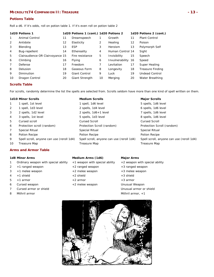#### **MICROLITE74 COMPANION II: TREASURE - 13 -**

#### *Potions Table*

Roll a d6. If it's odds, roll on potion table 1. If it's even roll on potion table 2

|                | 1d20 Potions 1                   |    | 1d20 Potions 1 (cont.) 1d20 Potions 2 |                |                  |    | 1d20 Potions 2 (cont.)  |
|----------------|----------------------------------|----|---------------------------------------|----------------|------------------|----|-------------------------|
|                | Animal Control                   | 11 | Dreamspeech                           |                | Growth           | 11 | Plant Control           |
| 2              | Antidote                         | 12 | Elasticity                            | $\overline{2}$ | Healing          | 12 | Poison                  |
| 3              | Blending                         | 13 | <b>ESP</b>                            | 3              | Heroism          | 13 | Polymorph Self          |
| 4              | Bug-repellent                    | 14 | Ethereality                           | 4              | Human Control 14 |    | Sight                   |
| 5              | Clairaudience OR Clairvoyance 15 |    | Fire resistance                       | 5              | Invisibility     | 15 | Speech                  |
| 6              | Climbing                         | 16 | <b>Flying</b>                         | 6              | Invulnerability  | 16 | Speed                   |
| $\overline{7}$ | Defense                          | 17 | Freedom                               | 7              | Levitation       | 17 | Super Healing           |
| 8              | <b>Delusion</b>                  | 18 | Gaseous Form                          | 8              | Longevity        | 18 | <b>Treasure Finding</b> |
| 9              | Diminution                       | 19 | Giant Control                         | 9              | Luck             | 19 | Undead Control          |
| 10             | Dragon Control                   | 20 | Giant Strength                        | 10             | Merging          | 20 | Water Breathing         |

#### *Scrolls Table*

For scrolls, randomly determine the list the spells are selected from. Scrolls seldom have more than one kind of spell written on them.

## **1d10 Minor Scrolls Medium Scrolls Major Scrolls Major Scrolls Major Scrolls**

| <b>Medium Scrolls</b> |  |
|-----------------------|--|
|                       |  |

|    | I spell, 1st level                        | 1 spell, 1d6 level                        | 5 spells, 1d6 level                       |
|----|-------------------------------------------|-------------------------------------------|-------------------------------------------|
| 2  | 1 spell, 1d3 level                        | 2 spells, 1d4 level                       | 6 spells, 1d6 level                       |
| 3  | 2 spells, 1d2 level                       | 2 spells, $1d6+1$ level                   | 7 spells, 1d6 level                       |
| 4  | 3 spells, 1st level                       | 5 spells, 1d3 level                       | 8 spells, 1d6 level                       |
| 5  | Cursed scroll                             | Cursed Scroll                             | <b>Cursed Scroll</b>                      |
| 6  | Protection scroll (random)                | Protection Scroll (random)                | Protection Scroll (random)                |
|    | Special Ritual                            | Special Ritual                            | Special Ritual                            |
| 8  | Potion Recipe                             | Potion Recipe                             | Potion Recipe                             |
| 9  | Spell scroll, anyone can use (reroll 1d4) | Spell scroll, anyone can use (reroll 1d4) | Spell scroll, anyone can use (reroll 1d4) |
| 10 | Treasure Map                              | Treasure Map                              | Treasure Map                              |
|    |                                           |                                           |                                           |

#### *Arms and Armor Table*

- 1 Ordinary weapon with special ability +1 weapon with special ability +2 weapon with special ability
- 2 +1 ranged weapon +2 ranged weapon +3 ranged weapon
- 3 +1 melee weapon +2 melee weapon +3 melee weapon
- 4 +1 shield +2 shield +2 shield +3 shield
- $5 + 1$  armor  $+2$  armor  $+3$  armor
- 
- 7 Cursed armor or shield Unusual armor or shield
- 

#### **1d8 Minor Arms Medium Arms (1d6) Major Arms**

- 
- 
- 
- 
- 
- 

- 
- 
- 
- 
- 

6 Cursed weapon +2 melee weapon Unusual Weapon 8 Mithril armor Mithril armor,  $+1$ 

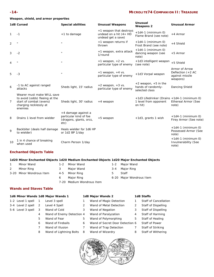#### **-14- MICROLITE74 COMPANION II: TREASURE**

#### **Weapon, shield, and armor properties**

|                | 1d8 Cursed                                                                                                                   | <b>Special abilities</b>                                                         | <b>Unusual Weapons</b>                                                      | <b>Unusual</b><br><b>Weapons 2</b>                                              | <b>Unusual Armor</b>                                                 |
|----------------|------------------------------------------------------------------------------------------------------------------------------|----------------------------------------------------------------------------------|-----------------------------------------------------------------------------|---------------------------------------------------------------------------------|----------------------------------------------------------------------|
| $\mathbf{1}$   | $-1$                                                                                                                         | +1 to damage                                                                     | +1 weapon that destroys<br>undead on a hit $(4 + HD)$<br>undead get a save) | $+1d4-1$ (minimum 0)<br>Flame Brand (see note)                                  | +4 Armor                                                             |
| $\overline{2}$ | ×                                                                                                                            | $\mathbf{u}$                                                                     | +1 weapon returns if<br>thrown                                              | $+1d4-1$ (minimum 0)<br>Frost Brand (see note)                                  | +4 Shield                                                            |
| 3              | $-2$                                                                                                                         | $\mathbf{u}$                                                                     | +1 weapon, extra attack<br>1/round                                          | $+1d4-1$ (minimum 0)<br>dancing weapon (see<br>note)                            | $+5$ Armor                                                           |
| 4              | $\overline{\mathbf{u}}$                                                                                                      | $\mathbf{u}$                                                                     | $+1$ weapon, $+2$ vs.<br>particular type of enemy                           | +1d3 intelligent weapon<br>(see note)                                           | +5 Shield                                                            |
| 5              | $-3$                                                                                                                         | $\mathbf{u}$                                                                     | $+1$ weapon, $+4$ vs.<br>particular type of enemy                           | +1d3 Vorpal weapon                                                              | Armor of Arrow<br>Deflection $(+2$ AC<br>against missile<br>weapons) |
| 6              | -1 to AC against ranged<br>attacks                                                                                           | Sheds light, 15' radius                                                          | $+2$ weapon, $+3$ vs.<br>particular type of enemy                           | $+2$ weapon, $+5$ in the<br>hands of randomly-<br>selected class                | Dancing Shield                                                       |
| 7              | Wearer must make WILL save<br>to avoid (odds) fleeing at the<br>start of combat (evens)<br>charging recklessly at<br>enemies | Sheds light, 30' radius                                                          | $+4$ weapon                                                                 | +1d3 Lifedrinker (Drains +1d4-1 (minimum 0)<br>1 level from opponent<br>on hit) | Ethereal Armor (See<br>note)                                         |
| 8              | Drains 1 level from wielder                                                                                                  | +4 damage against a<br>particular kind of foe<br>(dragons, giants, orcs,<br>etc) | +5 weapon                                                                   | +1d3, grants 1 wish                                                             | $+1d4-1$ (minimum 0)<br>Firey Armor (See note)                       |
| 9              | Backbiter (deals half damage)<br>to wielder)                                                                                 | Heals wielder for 1d6 HP<br>or 1d2 BP 1/day                                      |                                                                             |                                                                                 | $+1d4-1$ (minimum 0)<br>Possessed Armor (See<br>note)                |
| 10             | 1 in 4 chance of breaking<br>when used                                                                                       | Charm Person 1/day                                                               |                                                                             |                                                                                 | $+1d4-1$ (minimum 0)<br>Invulnerability (See<br>note)                |

#### *Enchanted Objects Table*

#### **1d20 Minor Enchanted Objects 1d20 Medium Enchanted Objects 1d20 Major Enchanted Objects**

|   | Minor Wand               |   | 1-2 Minor Wand            |   | 1-2 Major Wand           |
|---|--------------------------|---|---------------------------|---|--------------------------|
| 2 | Minor Ring               | 3 | Major Wand                |   | 3-4 Major Ring           |
|   | 3-20 Minor Wondrous Item |   | 4-5 Minor Ring            | 5 | Staff                    |
|   |                          | 6 | Major Ring                |   | 6-20 Major Wondrous Item |
|   |                          |   | 7-20 Medium Wondrous Item |   |                          |
|   |                          |   |                           |   |                          |

#### *Wands and Staves Table*

|                   |    | 1d6 Minor Wands 1d8 Major Wands 1 |   | 1d8 Major Wands 2               |   | 1d8 Staffs                 |
|-------------------|----|-----------------------------------|---|---------------------------------|---|----------------------------|
| 1-2 Level 1 spell |    | Level 3 spell                     |   | Wand of Magic Detection         |   | Staff of Cancellation      |
| 3-4 Level 2 spell | 2  | Level 4 Spell                     |   | Wand of Metal Detection         |   | Staff of Dispelling        |
| 5-6 Level 3 spell | 3  | Wand of Cold                      | 3 | Wand of Negation                | 3 | <b>Staff of Dispelling</b> |
|                   | 4  | Wand of Enemy Detection 4         |   | Wand of Paralyzation            | 4 | Staff of Harming           |
|                   | 5. | Wand of Fear                      | 5 | Wand of Polymorphing            | 5 | Staff of Healing           |
|                   | 6  | Wand of Fireballs                 | 6 | Wand of Secret Door Detection 6 |   | Staff of Power             |
|                   |    | Wand of Illusion                  |   | Wand of Trap Detection          |   | Staff of Striking          |
|                   | 8  | Wand of Lightning Bolts           | 8 | Wand of Wizardry                | 8 | Staff of Withering         |

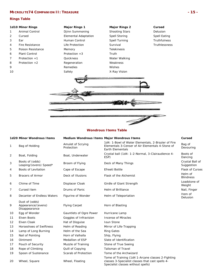### **MICROLITE74 COMPANION II: TREASURE - 15 -**

#### *Rings Table*

|                | 1d10 Minor Rings       | <b>Major Rings 1</b> | <b>Major Rings 2</b>  | Cursed           |
|----------------|------------------------|----------------------|-----------------------|------------------|
|                | Animal Control         | Djinn Summoning      | <b>Shooting Stars</b> | <b>Delusion</b>  |
| 2              | Cursed                 | Elemental Adaptation | Spell Storing         | Spell Eati       |
| 3              | Ear                    | Human Control        | Spell Turning         | Truthfuln        |
| 4              | <b>Fire Resistance</b> | Life Protection      | Survival              | <b>Truthless</b> |
| 5              | Poison Resistance      | Memory               | <b>Telekinesis</b>    |                  |
| 6              | Plant Control          | Protection $+3$      | Truth                 |                  |
| $\overline{7}$ | Protection $+1$        | <b>Ouickness</b>     | Water Walking         |                  |
| 8              | Protection $+2$        | Regeneration         | Weakness              |                  |
| 9              |                        | Remedies             | <b>Wishes</b>         |                  |
| 10             |                        | Safety               | X-Ray Vision          |                  |
|                |                        |                      |                       |                  |

Spell Eating Truthfulness Truthlessness



#### *Wondrous Items Table*

|                   | <b>1d20 Minor Wondrous Items</b>                      | Medium Wondrous I tems Major Wondrous I tems | <b>Cursed</b>                                                                                                                               |                               |
|-------------------|-------------------------------------------------------|----------------------------------------------|---------------------------------------------------------------------------------------------------------------------------------------------|-------------------------------|
| 1                 | Bag of Holding                                        | Amulet of Scrying<br>Protection              | 1d4: 1-Bowl of Water Elementals, 2-Brazier of Fire<br>Elementals 3-Censer of Air Elementals 4-Stone of<br><b>Earth Elementals</b>           | Bag of<br>Devouring           |
| $\overline{2}$    | Boat, Folding                                         | Boat, Underwater                             | Crystal ball (1d4: 1-2-Normal, 3-Clairaudience 4-<br>ESP)                                                                                   | Boots of<br>Dancing           |
| 3                 | Boots of (odds)<br>Leaping/(evens) Speed*             | Broom of Flying                              | Deck of Many Things                                                                                                                         | Crystal Ball of<br>Suggestion |
| 4                 | Boots of Levitation                                   | Cape of Escape                               | Efreeti Bottle                                                                                                                              | <b>Flask of Curses</b>        |
| 5                 | <b>Bracers of Armor</b>                               | Deck of Illusions                            | Flask of the Alchemist                                                                                                                      | Helm of<br><b>Blindness</b>   |
| 6                 | Chime of Time                                         | Displacer Cloak                              | Girdle of Giant Strength                                                                                                                    | Loadstone of<br>Weight        |
| 7                 | Cursed Item                                           | Drums of Panic                               | Helm of Brilliance                                                                                                                          | Nail, Finger                  |
| 8                 | Decanter of Endless Waters                            | Figurine of Wonder                           | Helm of Teleportation                                                                                                                       | Item of<br>Delusion           |
| 9                 | Dust of (odds)<br>Appearance/(evens)<br>Disappearance | <b>Flying Carpet</b>                         | Horn of Blasting                                                                                                                            |                               |
| 10                | Egg of Wonder                                         | Gauntlets of Ogre Power                      | Hurricane Lamp                                                                                                                              |                               |
| 11                | <b>Elven Boots</b>                                    | Goggles of Infravision                       | Incense of Miracles                                                                                                                         |                               |
| $12 \overline{ }$ | Elven Cloak                                           | Hat of Disquise                              | <b>Ioun Stone</b>                                                                                                                           |                               |
| 13                | Horseshoes of Swiftness                               | Helm of Reading                              | Mirror of Life-Trapping                                                                                                                     |                               |
| 14                | Lamp of Long Burning                                  | Helm of the Sea                              | <b>Ring Gates</b>                                                                                                                           |                               |
| 15                | Nail of Pointing                                      | Horn of Valhalla                             | Ship, Flying                                                                                                                                |                               |
| 16                | Ointment                                              | Medallion of ESP                             | Slate of Identification                                                                                                                     |                               |
| 17                | Pouch of Security                                     | Muzzle of Training                           | Stone of True Seeing                                                                                                                        |                               |
| 18                | Rope of Climbing                                      | Quill of Copying                             | <b>Talisman of Travel</b>                                                                                                                   |                               |
| 19                | Spoon of Sustenance                                   | Scarab of Protection                         | Tome of the Archwizard                                                                                                                      |                               |
| 20                | Wheel, Square                                         | Wheel, Floating                              | Tome of Training (1d4 1-Arcane classes 2-Fighting<br>classes 3-Specialist classes that cast spells 4-<br>Specialist classes without spells) |                               |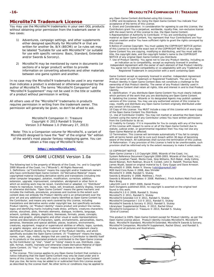#### **-16- MICROLITE74 COMPANION II: TREASURE**

#### *Microlite74 Trademark License*

You may use the Microlite74 trademarks in your own OGL products without obtaining prior permission from the trademark owner in two cases:

- 1) Adventures, campaign settings, and other supplements either designed specifically for Microlite74 or that are written for another 0e, B/X (BECMI) or 1e rules set may be labeled "Suitable for use with Microlite74" (or suitable for use with specific versions: Basic, Standard, Extended and/or Swords & Sorcery).
- 2) Microlite74 may be mentioned by name in documents (or sections of a larger product) written to provide information on converting adventures and other materials between one game system and another.

In no case may the Microlite74 trademarks be used in any manner than indicates a product is endorsed or otherwise approved by the author of Microlite74. The terms "Microlite74 Companion" and "Microlite74 Supplement" may not be used in the title or subtitle of a product without permission in writing.

All others uses of the "Microlite74" trademarks in products requires permission in writing from the trademark owner. This permission will generally be given, so don't be afraid to ask.

> Microlite74 Companion II: Treasure Copyright © 2013 Randall S Stukey Version 3.0 Release 1.0 (February 27, 2013)

*Note: This is a Companion volume for Microlite74, a variant of Microlite20 designed to have the "feel" of the original "0e" edition of the world's most popular fantasy roleplaying game. You can obtain a free copy of Microlite74 here:* 

#### **http://microlite74.com/**

#### OPEN GAME LICENSE Version 1.0a

The following text is the property of Wizards of the Coast, Inc. and is Copyright<br>2000 Wizards of the Coast, Inc ("Wizards"). All Rights Reserved.<br>1. Definitions: (a)"Contributors" means the copyright and/or trademark owne who have contributed Open Game Content; (b)"Derivative Material" means copyrighted material including derivative works and translations (including into other computer languages), potation, modification, correction, addition, extension, upgrade, improvement, compilation, abridgment or other form in which an existing work may be recast, transformed or adapted; (c) "Distribute" means to reproduce, license, rent, lease, sell, broadcast, publicly display, transmit or otherwise distribute; "Open Game Content" means the game mechanic and includes the methods, procedures, processes and routines to the extent such content does not embody the Product Identity and is an enhancement over the prior art and any additional content clearly identified as Open Game Content by the Contributor, and means any work covered by this License, including translations and derivative works under copyright law, but specifically excludes Product Identity. (e) "Product Identity" means product and product line names, logos and identifying marks including trade dress; artifacts; creatures characters; stories, storylines, plots, thematic elements, dialogue, incidents, language, artwork, symbols, designs, depictions, likenesses, formats, poses, concepts, themes and graphic, photographic and other visual or audio representations; names and descriptions of characters, spells, enchantments, personalities, teams, personas, likenesses and special abilities; places, locations, environments, creatures, equipment, magical or supernatural abilities or effects, logos, symbols, or graphic designs; and any other trademark or registered trademark clearly identified as Product identity by the owner of the Product Identity, and which specifically excludes the Open Game Content; (f) "Trademark" means the logos, names, mark, sign, motto, designs that are used by a Contributor to identify itself or its products or the associated products contributed to the Open Game License by the Contributor (g) "Use", "Used" or "Using" means to use, Distribute, copy, edit, format, modify, translate and otherwise create Derivative Material of Open Game Content. (h) "You" or "Your" means the licensee in terms of this agreement.

2. The License: This License applies to any Open Game Content that contains a notice indicating that the Open Game Content may only be Used under and in terms of this License. You must affix such a notice to any Open Game Content that you Use. No terms may be added to or subtracted from this License except as described by the License itself. No other terms or conditions may be applied to any Open Game Content distributed using this License.

3.Offer and Acceptance: By Using the Open Game Content You indicate Your acceptance of the terms of this License.

4. Grant and Consideration: In consideration for agreeing to use this License, the Contributors grant You a perpetual, worldwide, royalty-free, non-exclusive license with the exact terms of this License to Use, the Open Game Content. 5.Representation of Authority to Contribute: If You are contributing original material as Open Game Content, You represent that Your Contributions are Your

original creation and/or You have sufficient rights to grant the rights conveyed by this License.

6.Notice of License Copyright: You must update the COPYRIGHT NOTICE portion of this License to include the exact text of the COPYRIGHT NOTICE of any Open Game Content You are copying, modifying or distributing, and You must add the title, the copyright date, and the copyright holder's name to the COPYRIGHT NOTICE of any original Open Game Content you Distribute.

7. Use of Product Identity: You agree not to Use any Product Identity, including as an indication as to compatibility, except as expressly licensed in another, independent Agreement with the owner of each element of that Product Identity. You agree not to indicate compatibility or co-adaptability with any Trademark or

Registered Trademark in conjunction with a work containing Open

Game Content except as expressly licensed in another, independent Agreement with the owner of such Trademark or Registered Trademark. The use of any Product Identity in Open Game Content does not constitute a challenge to the ownership of that Product Identity. The owner of any Product Identity used in Open Game Content shall retain all rights, title and interest in and to that Product Identity.

8. Identification: If you distribute Open Game Content You must clearly indicate which portions of the work that you are distributing are Open Game Content. 9. Updating the License: Wizards or its designated Agents may publish updated versions of this License. You may use any authorized version of this License to copy, modify and distribute any Open Game Content originally distributed under any version of this License.

10 Copy of this License: You MUST include a copy of this License with every copy of the Open Game Content You Distribute.

11. Use of Contributor Credits: You may not market or advertise the Open Game Content using the name of any Contributor unless You have written permission from the Contributor to do so.

12 Inability to Comply: If it is impossible for You to comply with any of the terms of this License with respect to some or all of the Open Game Content due to statute, judicial order, or governmental regulation then You may not Use any Open Game Material so affected.

13 Termination: This License will terminate automatically if You fail to comply with all terms herein and fail to cure such breach within 30 days of becoming aware of the breach. All sublicenses shall survive the termination of this License. 14 Reformation: If any provision of this License is held to be unenforceable, such provision shall be reformed only to the extent necessary to make it enforceable.

#### 15 COPYRIGHT NOTICE

Open Game License v 1.0 Copyright 2000, Wizards of the Coast, Inc. System Reference Document Copyright 2000-2003, Wizards of the Coast, Inc.; Authors Jonathan Tweet, Monte Cook, Skip Williams, Rich Baker, Andy Collins, David Noonan, Rich Redman, Bruce R. Cordell, John D. Rateliff, Thomas Reid, James Wyatt, based on original material by E. Gary Gygax and Dave Arneson. Microlite20 © 2006, Robin V. Stacey (robin@greywulf.net)

M20 Hard Core Rules © 2008, Alex Shroder

Microlite74 © 2008, Randall S. Stukey

Swords & Wizardry © 2008. Matthew J. Finch

Swords & Wizardry: Whitebox © 2008. Matthew J. Finch Authors Matt Finch and Marv Breig Labyrinth Lord © 2007-2009, Daniel Proctor

Dark Dungeons published 2010, no copyright is asserted on the original text found in this work.

Microlite74 2.0 © 2009, Randall S. Stukey

Microlite75 © 2011, Randall S. Stukey

Microlite74 Extended 3.0 © 2011, Randall S. Stukey

Microlite74 Companion I 3.0 © 2011, Randall S. Stukey

Microlite74 Swords & Sorcery © 2012, Randall S. Stukey

Librarylass' Supplemental Rules, © 2012, Rachel Ghoul

Microlite74 Companion 2: Treasure © 2013, Randall S. Stukey [End of License]

This product is 100% Open Game Content except for Product Identity, as per the Open Game License above. Product Identity includes Microlite74, Microlite74 Basic. Microlite74 Standard, Microlite74 Extended, Microlite74 Swords & Sorcery, Microlite74 Companion, Microlite74 Supplement, Rachel Ghoul, and Randall S. Stukey and all pictures and illustrations.